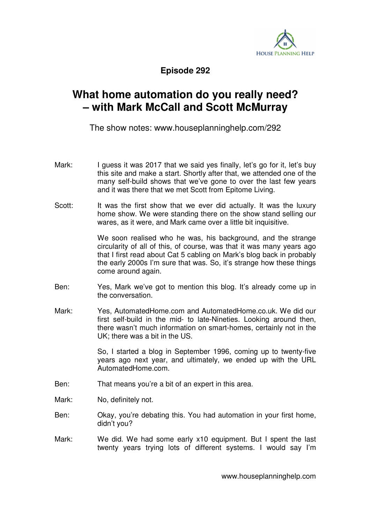

**Episode 292** 

## **What home automation do you really need? – with Mark McCall and Scott McMurray**

The show notes: www.houseplanninghelp.com/292

- Mark: I guess it was 2017 that we said yes finally, let's go for it, let's buy this site and make a start. Shortly after that, we attended one of the many self-build shows that we've gone to over the last few years and it was there that we met Scott from Epitome Living.
- Scott: It was the first show that we ever did actually. It was the luxury home show. We were standing there on the show stand selling our wares, as it were, and Mark came over a little bit inquisitive.

 We soon realised who he was, his background, and the strange circularity of all of this, of course, was that it was many years ago that I first read about Cat 5 cabling on Mark's blog back in probably the early 2000s I'm sure that was. So, it's strange how these things come around again.

- Ben: Yes, Mark we've got to mention this blog. It's already come up in the conversation.
- Mark: Yes, AutomatedHome.com and AutomatedHome.co.uk. We did our first self-build in the mid- to late-Nineties. Looking around then, there wasn't much information on smart-homes, certainly not in the UK; there was a bit in the US.

 So, I started a blog in September 1996, coming up to twenty-five years ago next year, and ultimately, we ended up with the URL AutomatedHome.com.

- Ben: That means you're a bit of an expert in this area.
- Mark: No, definitely not.
- Ben: Okay, you're debating this. You had automation in your first home, didn't you?
- Mark: We did. We had some early x10 equipment. But I spent the last twenty years trying lots of different systems. I would say I'm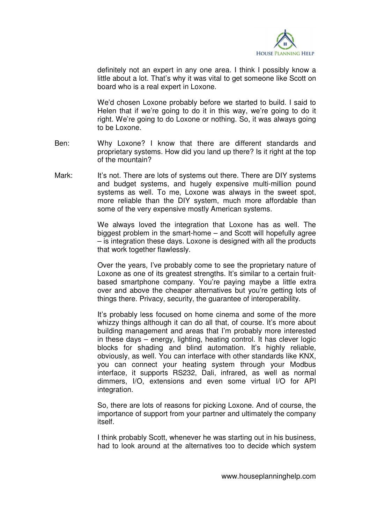

definitely not an expert in any one area. I think I possibly know a little about a lot. That's why it was vital to get someone like Scott on board who is a real expert in Loxone.

 We'd chosen Loxone probably before we started to build. I said to Helen that if we're going to do it in this way, we're going to do it right. We're going to do Loxone or nothing. So, it was always going to be Loxone.

- Ben: Why Loxone? I know that there are different standards and proprietary systems. How did you land up there? Is it right at the top of the mountain?
- Mark: It's not. There are lots of systems out there. There are DIY systems and budget systems, and hugely expensive multi-million pound systems as well. To me, Loxone was always in the sweet spot, more reliable than the DIY system, much more affordable than some of the very expensive mostly American systems.

 We always loved the integration that Loxone has as well. The biggest problem in the smart-home – and Scott will hopefully agree – is integration these days. Loxone is designed with all the products that work together flawlessly.

 Over the years, I've probably come to see the proprietary nature of Loxone as one of its greatest strengths. It's similar to a certain fruitbased smartphone company. You're paying maybe a little extra over and above the cheaper alternatives but you're getting lots of things there. Privacy, security, the guarantee of interoperability.

 It's probably less focused on home cinema and some of the more whizzy things although it can do all that, of course. It's more about building management and areas that I'm probably more interested in these days – energy, lighting, heating control. It has clever logic blocks for shading and blind automation. It's highly reliable, obviously, as well. You can interface with other standards like KNX, you can connect your heating system through your Modbus interface, it supports RS232, Dali, infrared, as well as normal dimmers, I/O, extensions and even some virtual I/O for API integration.

 So, there are lots of reasons for picking Loxone. And of course, the importance of support from your partner and ultimately the company itself.

 I think probably Scott, whenever he was starting out in his business, had to look around at the alternatives too to decide which system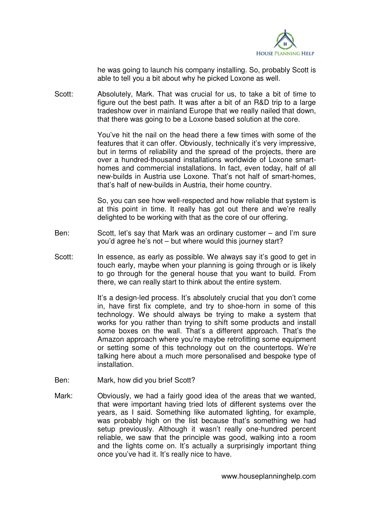

he was going to launch his company installing. So, probably Scott is able to tell you a bit about why he picked Loxone as well.

Scott: Absolutely, Mark. That was crucial for us, to take a bit of time to figure out the best path. It was after a bit of an R&D trip to a large tradeshow over in mainland Europe that we really nailed that down, that there was going to be a Loxone based solution at the core.

> You've hit the nail on the head there a few times with some of the features that it can offer. Obviously, technically it's very impressive, but in terms of reliability and the spread of the projects, there are over a hundred-thousand installations worldwide of Loxone smarthomes and commercial installations. In fact, even today, half of all new-builds in Austria use Loxone. That's not half of smart-homes, that's half of new-builds in Austria, their home country.

> So, you can see how well-respected and how reliable that system is at this point in time. It really has got out there and we're really delighted to be working with that as the core of our offering.

- Ben: Scott, let's say that Mark was an ordinary customer and I'm sure you'd agree he's not – but where would this journey start?
- Scott: In essence, as early as possible. We always say it's good to get in touch early, maybe when your planning is going through or is likely to go through for the general house that you want to build. From there, we can really start to think about the entire system.

 It's a design-led process. It's absolutely crucial that you don't come in, have first fix complete, and try to shoe-horn in some of this technology. We should always be trying to make a system that works for you rather than trying to shift some products and install some boxes on the wall. That's a different approach. That's the Amazon approach where you're maybe retrofitting some equipment or setting some of this technology out on the countertops. We're talking here about a much more personalised and bespoke type of installation.

- Ben: Mark, how did you brief Scott?
- Mark: Obviously, we had a fairly good idea of the areas that we wanted, that were important having tried lots of different systems over the years, as I said. Something like automated lighting, for example, was probably high on the list because that's something we had setup previously. Although it wasn't really one-hundred percent reliable, we saw that the principle was good, walking into a room and the lights come on. It's actually a surprisingly important thing once you've had it. It's really nice to have.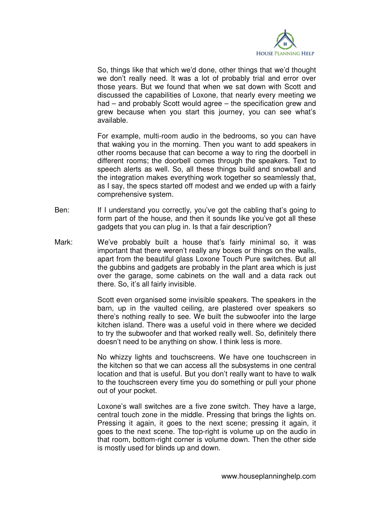

 So, things like that which we'd done, other things that we'd thought we don't really need. It was a lot of probably trial and error over those years. But we found that when we sat down with Scott and discussed the capabilities of Loxone, that nearly every meeting we had – and probably Scott would agree – the specification grew and grew because when you start this journey, you can see what's available.

 For example, multi-room audio in the bedrooms, so you can have that waking you in the morning. Then you want to add speakers in other rooms because that can become a way to ring the doorbell in different rooms; the doorbell comes through the speakers. Text to speech alerts as well. So, all these things build and snowball and the integration makes everything work together so seamlessly that, as I say, the specs started off modest and we ended up with a fairly comprehensive system.

- Ben: If I understand you correctly, you've got the cabling that's going to form part of the house, and then it sounds like you've got all these gadgets that you can plug in. Is that a fair description?
- Mark: We've probably built a house that's fairly minimal so, it was important that there weren't really any boxes or things on the walls, apart from the beautiful glass Loxone Touch Pure switches. But all the gubbins and gadgets are probably in the plant area which is just over the garage, some cabinets on the wall and a data rack out there. So, it's all fairly invisible.

 Scott even organised some invisible speakers. The speakers in the barn, up in the vaulted ceiling, are plastered over speakers so there's nothing really to see. We built the subwoofer into the large kitchen island. There was a useful void in there where we decided to try the subwoofer and that worked really well. So, definitely there doesn't need to be anything on show. I think less is more.

 No whizzy lights and touchscreens. We have one touchscreen in the kitchen so that we can access all the subsystems in one central location and that is useful. But you don't really want to have to walk to the touchscreen every time you do something or pull your phone out of your pocket.

 Loxone's wall switches are a five zone switch. They have a large, central touch zone in the middle. Pressing that brings the lights on. Pressing it again, it goes to the next scene; pressing it again, it goes to the next scene. The top-right is volume up on the audio in that room, bottom-right corner is volume down. Then the other side is mostly used for blinds up and down.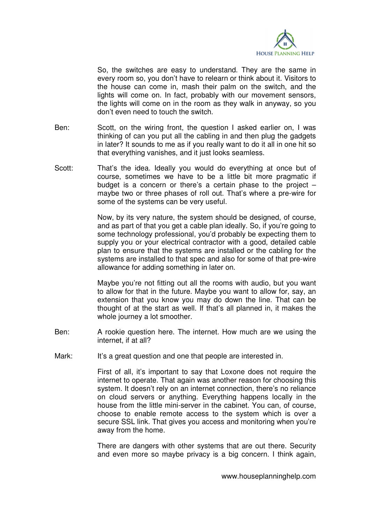

 So, the switches are easy to understand. They are the same in every room so, you don't have to relearn or think about it. Visitors to the house can come in, mash their palm on the switch, and the lights will come on. In fact, probably with our movement sensors, the lights will come on in the room as they walk in anyway, so you don't even need to touch the switch.

- Ben: Scott, on the wiring front, the question I asked earlier on, I was thinking of can you put all the cabling in and then plug the gadgets in later? It sounds to me as if you really want to do it all in one hit so that everything vanishes, and it just looks seamless.
- Scott: That's the idea. Ideally you would do everything at once but of course, sometimes we have to be a little bit more pragmatic if budget is a concern or there's a certain phase to the project – maybe two or three phases of roll out. That's where a pre-wire for some of the systems can be very useful.

 Now, by its very nature, the system should be designed, of course, and as part of that you get a cable plan ideally. So, if you're going to some technology professional, you'd probably be expecting them to supply you or your electrical contractor with a good, detailed cable plan to ensure that the systems are installed or the cabling for the systems are installed to that spec and also for some of that pre-wire allowance for adding something in later on.

 Maybe you're not fitting out all the rooms with audio, but you want to allow for that in the future. Maybe you want to allow for, say, an extension that you know you may do down the line. That can be thought of at the start as well. If that's all planned in, it makes the whole journey a lot smoother.

- Ben: A rookie question here. The internet. How much are we using the internet, if at all?
- Mark: It's a great question and one that people are interested in.

 First of all, it's important to say that Loxone does not require the internet to operate. That again was another reason for choosing this system. It doesn't rely on an internet connection, there's no reliance on cloud servers or anything. Everything happens locally in the house from the little mini-server in the cabinet. You can, of course, choose to enable remote access to the system which is over a secure SSL link. That gives you access and monitoring when you're away from the home.

 There are dangers with other systems that are out there. Security and even more so maybe privacy is a big concern. I think again,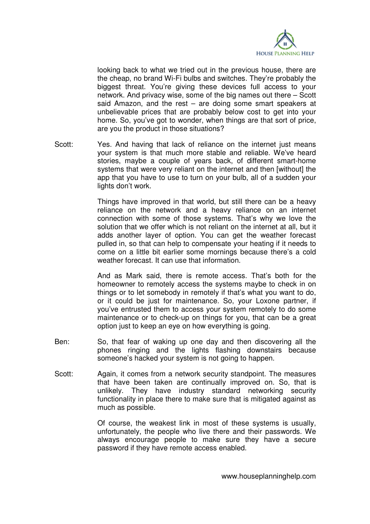

looking back to what we tried out in the previous house, there are the cheap, no brand Wi-Fi bulbs and switches. They're probably the biggest threat. You're giving these devices full access to your network. And privacy wise, some of the big names out there – Scott said Amazon, and the rest – are doing some smart speakers at unbelievable prices that are probably below cost to get into your home. So, you've got to wonder, when things are that sort of price, are you the product in those situations?

Scott: Yes. And having that lack of reliance on the internet just means your system is that much more stable and reliable. We've heard stories, maybe a couple of years back, of different smart-home systems that were very reliant on the internet and then [without] the app that you have to use to turn on your bulb, all of a sudden your lights don't work.

> Things have improved in that world, but still there can be a heavy reliance on the network and a heavy reliance on an internet connection with some of those systems. That's why we love the solution that we offer which is not reliant on the internet at all, but it adds another layer of option. You can get the weather forecast pulled in, so that can help to compensate your heating if it needs to come on a little bit earlier some mornings because there's a cold weather forecast. It can use that information.

> And as Mark said, there is remote access. That's both for the homeowner to remotely access the systems maybe to check in on things or to let somebody in remotely if that's what you want to do, or it could be just for maintenance. So, your Loxone partner, if you've entrusted them to access your system remotely to do some maintenance or to check-up on things for you, that can be a great option just to keep an eye on how everything is going.

- Ben: So, that fear of waking up one day and then discovering all the phones ringing and the lights flashing downstairs because someone's hacked your system is not going to happen.
- Scott: Again, it comes from a network security standpoint. The measures that have been taken are continually improved on. So, that is unlikely. They have industry standard networking security functionality in place there to make sure that is mitigated against as much as possible.

 Of course, the weakest link in most of these systems is usually, unfortunately, the people who live there and their passwords. We always encourage people to make sure they have a secure password if they have remote access enabled.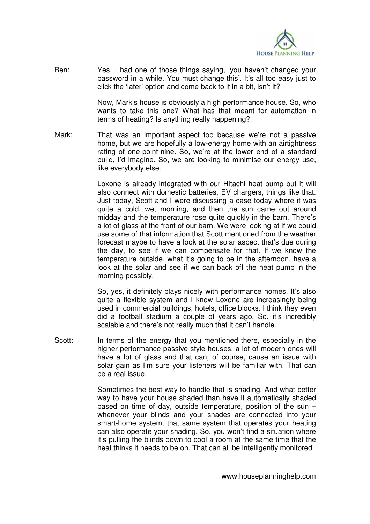

Ben: Yes. I had one of those things saying, 'you haven't changed your password in a while. You must change this'. It's all too easy just to click the 'later' option and come back to it in a bit, isn't it?

> Now, Mark's house is obviously a high performance house. So, who wants to take this one? What has that meant for automation in terms of heating? Is anything really happening?

Mark: That was an important aspect too because we're not a passive home, but we are hopefully a low-energy home with an airtightness rating of one-point-nine. So, we're at the lower end of a standard build, I'd imagine. So, we are looking to minimise our energy use, like everybody else.

> Loxone is already integrated with our Hitachi heat pump but it will also connect with domestic batteries, EV chargers, things like that. Just today, Scott and I were discussing a case today where it was quite a cold, wet morning, and then the sun came out around midday and the temperature rose quite quickly in the barn. There's a lot of glass at the front of our barn. We were looking at if we could use some of that information that Scott mentioned from the weather forecast maybe to have a look at the solar aspect that's due during the day, to see if we can compensate for that. If we know the temperature outside, what it's going to be in the afternoon, have a look at the solar and see if we can back off the heat pump in the morning possibly.

> So, yes, it definitely plays nicely with performance homes. It's also quite a flexible system and I know Loxone are increasingly being used in commercial buildings, hotels, office blocks. I think they even did a football stadium a couple of years ago. So, it's incredibly scalable and there's not really much that it can't handle.

Scott: In terms of the energy that you mentioned there, especially in the higher-performance passive-style houses, a lot of modern ones will have a lot of glass and that can, of course, cause an issue with solar gain as I'm sure your listeners will be familiar with. That can be a real issue.

> Sometimes the best way to handle that is shading. And what better way to have your house shaded than have it automatically shaded based on time of day, outside temperature, position of the sun – whenever your blinds and your shades are connected into your smart-home system, that same system that operates your heating can also operate your shading. So, you won't find a situation where it's pulling the blinds down to cool a room at the same time that the heat thinks it needs to be on. That can all be intelligently monitored.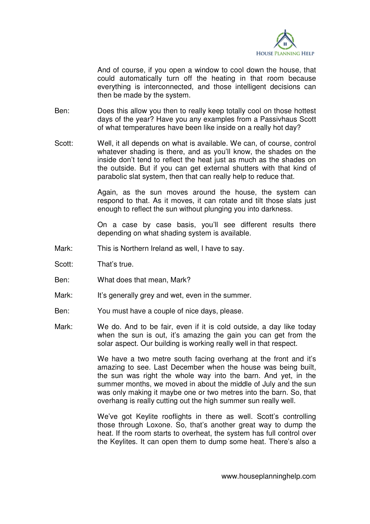

 And of course, if you open a window to cool down the house, that could automatically turn off the heating in that room because everything is interconnected, and those intelligent decisions can then be made by the system.

- Ben: Does this allow you then to really keep totally cool on those hottest days of the year? Have you any examples from a Passivhaus Scott of what temperatures have been like inside on a really hot day?
- Scott: Well, it all depends on what is available. We can, of course, control whatever shading is there, and as you'll know, the shades on the inside don't tend to reflect the heat just as much as the shades on the outside. But if you can get external shutters with that kind of parabolic slat system, then that can really help to reduce that.

 Again, as the sun moves around the house, the system can respond to that. As it moves, it can rotate and tilt those slats just enough to reflect the sun without plunging you into darkness.

 On a case by case basis, you'll see different results there depending on what shading system is available.

- Mark: This is Northern Ireland as well, I have to say.
- Scott: That's true.
- Ben: What does that mean, Mark?
- Mark: It's generally grey and wet, even in the summer.
- Ben: You must have a couple of nice days, please.
- Mark: We do. And to be fair, even if it is cold outside, a day like today when the sun is out, it's amazing the gain you can get from the solar aspect. Our building is working really well in that respect.

 We have a two metre south facing overhang at the front and it's amazing to see. Last December when the house was being built, the sun was right the whole way into the barn. And yet, in the summer months, we moved in about the middle of July and the sun was only making it maybe one or two metres into the barn. So, that overhang is really cutting out the high summer sun really well.

 We've got Keylite rooflights in there as well. Scott's controlling those through Loxone. So, that's another great way to dump the heat. If the room starts to overheat, the system has full control over the Keylites. It can open them to dump some heat. There's also a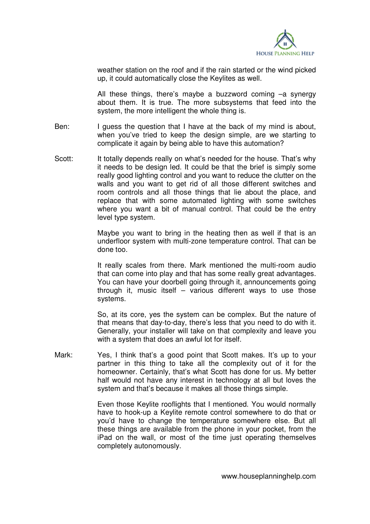

weather station on the roof and if the rain started or the wind picked up, it could automatically close the Keylites as well.

 All these things, there's maybe a buzzword coming –a synergy about them. It is true. The more subsystems that feed into the system, the more intelligent the whole thing is.

- Ben: I guess the question that I have at the back of my mind is about, when you've tried to keep the design simple, are we starting to complicate it again by being able to have this automation?
- Scott: It totally depends really on what's needed for the house. That's why it needs to be design led. It could be that the brief is simply some really good lighting control and you want to reduce the clutter on the walls and you want to get rid of all those different switches and room controls and all those things that lie about the place, and replace that with some automated lighting with some switches where you want a bit of manual control. That could be the entry level type system.

 Maybe you want to bring in the heating then as well if that is an underfloor system with multi-zone temperature control. That can be done too.

 It really scales from there. Mark mentioned the multi-room audio that can come into play and that has some really great advantages. You can have your doorbell going through it, announcements going through it, music itself – various different ways to use those systems.

 So, at its core, yes the system can be complex. But the nature of that means that day-to-day, there's less that you need to do with it. Generally, your installer will take on that complexity and leave you with a system that does an awful lot for itself.

Mark: Yes, I think that's a good point that Scott makes. It's up to your partner in this thing to take all the complexity out of it for the homeowner. Certainly, that's what Scott has done for us. My better half would not have any interest in technology at all but loves the system and that's because it makes all those things simple.

> Even those Keylite rooflights that I mentioned. You would normally have to hook-up a Keylite remote control somewhere to do that or you'd have to change the temperature somewhere else. But all these things are available from the phone in your pocket, from the iPad on the wall, or most of the time just operating themselves completely autonomously.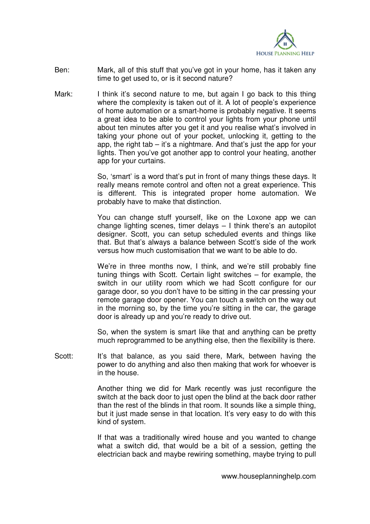

- Ben: Mark, all of this stuff that you've got in your home, has it taken any time to get used to, or is it second nature?
- Mark: I think it's second nature to me, but again I go back to this thing where the complexity is taken out of it. A lot of people's experience of home automation or a smart-home is probably negative. It seems a great idea to be able to control your lights from your phone until about ten minutes after you get it and you realise what's involved in taking your phone out of your pocket, unlocking it, getting to the app, the right tab  $-$  it's a nightmare. And that's just the app for your lights. Then you've got another app to control your heating, another app for your curtains.

 So, 'smart' is a word that's put in front of many things these days. It really means remote control and often not a great experience. This is different. This is integrated proper home automation. We probably have to make that distinction.

 You can change stuff yourself, like on the Loxone app we can change lighting scenes, timer delays – I think there's an autopilot designer. Scott, you can setup scheduled events and things like that. But that's always a balance between Scott's side of the work versus how much customisation that we want to be able to do.

 We're in three months now, I think, and we're still probably fine tuning things with Scott. Certain light switches – for example, the switch in our utility room which we had Scott configure for our garage door, so you don't have to be sitting in the car pressing your remote garage door opener. You can touch a switch on the way out in the morning so, by the time you're sitting in the car, the garage door is already up and you're ready to drive out.

 So, when the system is smart like that and anything can be pretty much reprogrammed to be anything else, then the flexibility is there.

Scott: It's that balance, as you said there, Mark, between having the power to do anything and also then making that work for whoever is in the house.

> Another thing we did for Mark recently was just reconfigure the switch at the back door to just open the blind at the back door rather than the rest of the blinds in that room. It sounds like a simple thing, but it just made sense in that location. It's very easy to do with this kind of system.

> If that was a traditionally wired house and you wanted to change what a switch did, that would be a bit of a session, getting the electrician back and maybe rewiring something, maybe trying to pull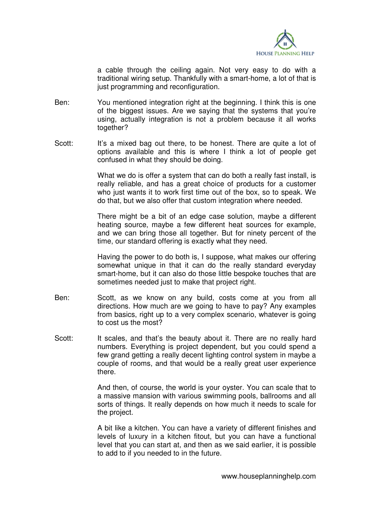

a cable through the ceiling again. Not very easy to do with a traditional wiring setup. Thankfully with a smart-home, a lot of that is just programming and reconfiguration.

- Ben: You mentioned integration right at the beginning. I think this is one of the biggest issues. Are we saying that the systems that you're using, actually integration is not a problem because it all works together?
- Scott: It's a mixed bag out there, to be honest. There are quite a lot of options available and this is where I think a lot of people get confused in what they should be doing.

 What we do is offer a system that can do both a really fast install, is really reliable, and has a great choice of products for a customer who just wants it to work first time out of the box, so to speak. We do that, but we also offer that custom integration where needed.

 There might be a bit of an edge case solution, maybe a different heating source, maybe a few different heat sources for example, and we can bring those all together. But for ninety percent of the time, our standard offering is exactly what they need.

 Having the power to do both is, I suppose, what makes our offering somewhat unique in that it can do the really standard everyday smart-home, but it can also do those little bespoke touches that are sometimes needed just to make that project right.

- Ben: Scott, as we know on any build, costs come at you from all directions. How much are we going to have to pay? Any examples from basics, right up to a very complex scenario, whatever is going to cost us the most?
- Scott: It scales, and that's the beauty about it. There are no really hard numbers. Everything is project dependent, but you could spend a few grand getting a really decent lighting control system in maybe a couple of rooms, and that would be a really great user experience there.

 And then, of course, the world is your oyster. You can scale that to a massive mansion with various swimming pools, ballrooms and all sorts of things. It really depends on how much it needs to scale for the project.

 A bit like a kitchen. You can have a variety of different finishes and levels of luxury in a kitchen fitout, but you can have a functional level that you can start at, and then as we said earlier, it is possible to add to if you needed to in the future.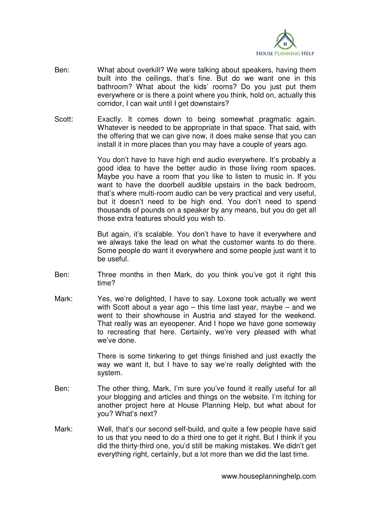

- Ben: What about overkill? We were talking about speakers, having them built into the ceilings, that's fine. But do we want one in this bathroom? What about the kids' rooms? Do you just put them everywhere or is there a point where you think, hold on, actually this corridor, I can wait until I get downstairs?
- Scott: Exactly. It comes down to being somewhat pragmatic again. Whatever is needed to be appropriate in that space. That said, with the offering that we can give now, it does make sense that you can install it in more places than you may have a couple of years ago.

 You don't have to have high end audio everywhere. It's probably a good idea to have the better audio in those living room spaces. Maybe you have a room that you like to listen to music in. If you want to have the doorbell audible upstairs in the back bedroom, that's where multi-room audio can be very practical and very useful, but it doesn't need to be high end. You don't need to spend thousands of pounds on a speaker by any means, but you do get all those extra features should you wish to.

 But again, it's scalable. You don't have to have it everywhere and we always take the lead on what the customer wants to do there. Some people do want it everywhere and some people just want it to be useful.

- Ben: Three months in then Mark, do you think you've got it right this time?
- Mark: Yes, we're delighted, I have to say. Loxone took actually we went with Scott about a year ago – this time last year, maybe – and we went to their showhouse in Austria and stayed for the weekend. That really was an eyeopener. And I hope we have gone someway to recreating that here. Certainly, we're very pleased with what we've done.

 There is some tinkering to get things finished and just exactly the way we want it, but I have to say we're really delighted with the system.

- Ben: The other thing, Mark, I'm sure you've found it really useful for all your blogging and articles and things on the website. I'm itching for another project here at House Planning Help, but what about for you? What's next?
- Mark: Well, that's our second self-build, and quite a few people have said to us that you need to do a third one to get it right. But I think if you did the thirty-third one, you'd still be making mistakes. We didn't get everything right, certainly, but a lot more than we did the last time.